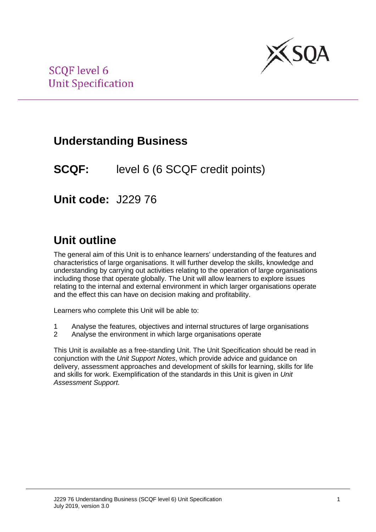

## **Understanding Business**

**SCQF:** level 6 (6 SCQF credit points)

**Unit code:** J229 76

## **Unit outline**

The general aim of this Unit is to enhance learners' understanding of the features and characteristics of large organisations. It will further develop the skills, knowledge and understanding by carrying out activities relating to the operation of large organisations including those that operate globally. The Unit will allow learners to explore issues relating to the internal and external environment in which larger organisations operate and the effect this can have on decision making and profitability.

Learners who complete this Unit will be able to:

- 1 Analyse the features, objectives and internal structures of large organisations
- 2 Analyse the environment in which large organisations operate

This Unit is available as a free-standing Unit. The Unit Specification should be read in conjunction with the *Unit Support Notes*, which provide advice and guidance on delivery, assessment approaches and development of skills for learning, skills for life and skills for work. Exemplification of the standards in this Unit is given in *Unit Assessment Support*.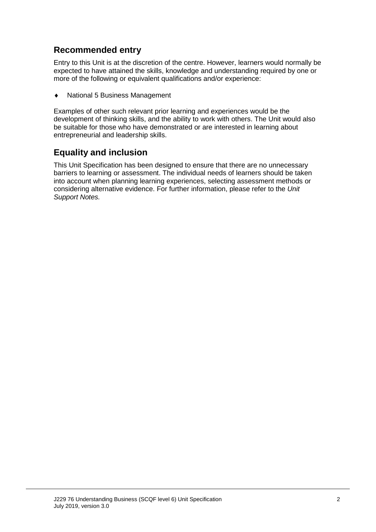### **Recommended entry**

Entry to this Unit is at the discretion of the centre. However, learners would normally be expected to have attained the skills, knowledge and understanding required by one or more of the following or equivalent qualifications and/or experience:

♦ National 5 Business Management

Examples of other such relevant prior learning and experiences would be the development of thinking skills, and the ability to work with others. The Unit would also be suitable for those who have demonstrated or are interested in learning about entrepreneurial and leadership skills.

#### **Equality and inclusion**

This Unit Specification has been designed to ensure that there are no unnecessary barriers to learning or assessment. The individual needs of learners should be taken into account when planning learning experiences, selecting assessment methods or considering alternative evidence. For further information, please refer to the *Unit Support Notes.*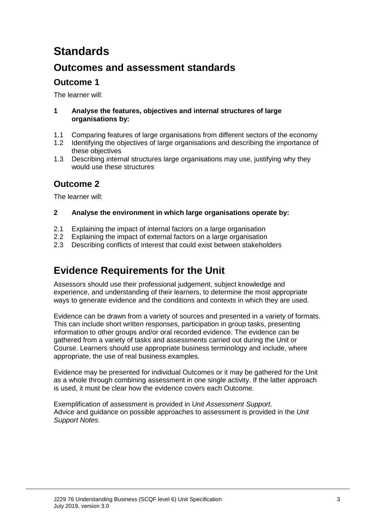# **Standards**

### **Outcomes and assessment standards**

### **Outcome 1**

The learner will:

#### **1 Analyse the features, objectives and internal structures of large organisations by:**

- 1.1 Comparing features of large organisations from different sectors of the economy<br>1.2 Identifying the objectives of large organisations and describing the importance of
- Identifying the objectives of large organisations and describing the importance of these objectives
- 1.3 Describing internal structures large organisations may use, justifying why they would use these structures

### **Outcome 2**

The learner will:

#### **2 Analyse the environment in which large organisations operate by:**

- 2.1 Explaining the impact of internal factors on a large organisation<br>2.2 Explaining the impact of external factors on a large organisation
- 2.2 Explaining the impact of external factors on a large organisation<br>2.3 Describing conflicts of interest that could exist between stakehold
- Describing conflicts of interest that could exist between stakeholders

## **Evidence Requirements for the Unit**

Assessors should use their professional judgement, subject knowledge and experience, and understanding of their learners, to determine the most appropriate ways to generate evidence and the conditions and contexts in which they are used.

Evidence can be drawn from a variety of sources and presented in a variety of formats. This can include short written responses, participation in group tasks, presenting information to other groups and/or oral recorded evidence. The evidence can be gathered from a variety of tasks and assessments carried out during the Unit or Course. Learners should use appropriate business terminology and include, where appropriate, the use of real business examples.

Evidence may be presented for individual Outcomes or it may be gathered for the Unit as a whole through combining assessment in one single activity. If the latter approach is used, it must be clear how the evidence covers each Outcome.

Exemplification of assessment is provided in *Unit Assessment Support*. Advice and guidance on possible approaches to assessment is provided in the *Unit Support Notes.*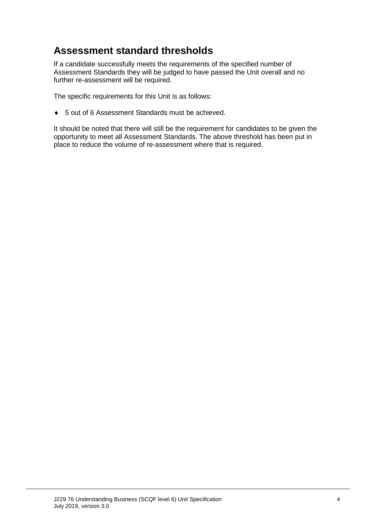### **Assessment standard thresholds**

If a candidate successfully meets the requirements of the specified number of Assessment Standards they will be judged to have passed the Unit overall and no further re-assessment will be required.

The specific requirements for this Unit is as follows:

♦ 5 out of 6 Assessment Standards must be achieved.

It should be noted that there will still be the requirement for candidates to be given the opportunity to meet all Assessment Standards. The above threshold has been put in place to reduce the volume of re-assessment where that is required.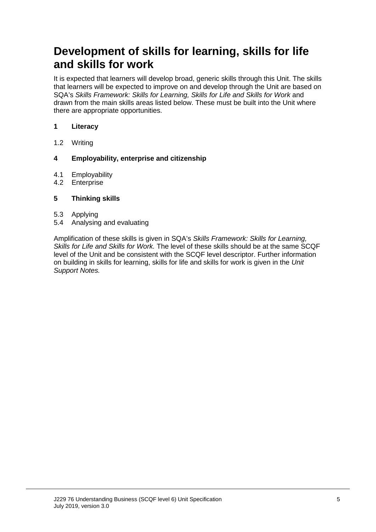## **Development of skills for learning, skills for life and skills for work**

It is expected that learners will develop broad, generic skills through this Unit. The skills that learners will be expected to improve on and develop through the Unit are based on SQA's *Skills Framework: Skills for Learning, Skills for Life and Skills for Work* and drawn from the main skills areas listed below. These must be built into the Unit where there are appropriate opportunities.

#### **1 Literacy**

1.2 Writing

#### **4 Employability, enterprise and citizenship**

- 4.1 Employability<br>4.2 Enterprise
- **Enterprise**

#### **5 Thinking skills**

- 
- 5.3 Applying 5.4 Analysing and evaluating

Amplification of these skills is given in SQA's *Skills Framework: Skills for Learning, Skills for Life and Skills for Work.* The level of these skills should be at the same SCQF level of the Unit and be consistent with the SCQF level descriptor. Further information on building in skills for learning, skills for life and skills for work is given in the *Unit Support Notes.*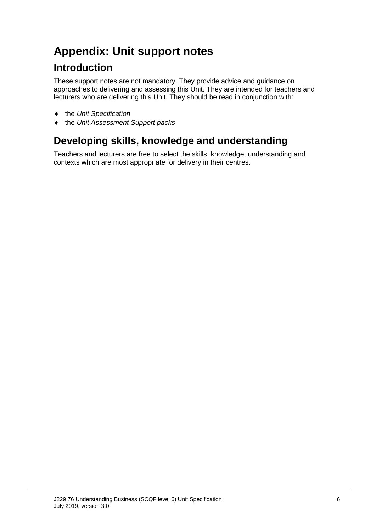# **Appendix: Unit support notes**

### **Introduction**

These support notes are not mandatory. They provide advice and guidance on approaches to delivering and assessing this Unit. They are intended for teachers and lecturers who are delivering this Unit. They should be read in conjunction with:

- ♦ the *Unit Specification*
- ♦ the *Unit Assessment Support packs*

## **Developing skills, knowledge and understanding**

Teachers and lecturers are free to select the skills, knowledge, understanding and contexts which are most appropriate for delivery in their centres.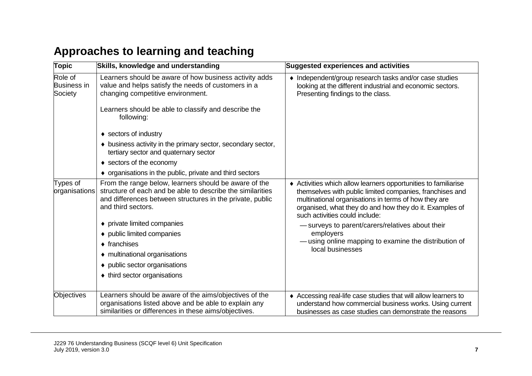# **Approaches to learning and teaching**

| <b>Topic</b>                             | Skills, knowledge and understanding                                                                                                                                                                                                                                                                                                                                                           | Suggested experiences and activities                                                                                                                                                                                                                                                                                                                                                                                         |
|------------------------------------------|-----------------------------------------------------------------------------------------------------------------------------------------------------------------------------------------------------------------------------------------------------------------------------------------------------------------------------------------------------------------------------------------------|------------------------------------------------------------------------------------------------------------------------------------------------------------------------------------------------------------------------------------------------------------------------------------------------------------------------------------------------------------------------------------------------------------------------------|
| Role of<br><b>Business in</b><br>Society | Learners should be aware of how business activity adds<br>value and helps satisfy the needs of customers in a<br>changing competitive environment.<br>Learners should be able to classify and describe the<br>following:                                                                                                                                                                      | • Independent/group research tasks and/or case studies<br>looking at the different industrial and economic sectors.<br>Presenting findings to the class.                                                                                                                                                                                                                                                                     |
|                                          | ♦ sectors of industry<br>• business activity in the primary sector, secondary sector,<br>tertiary sector and quaternary sector<br>♦ sectors of the economy<br>• organisations in the public, private and third sectors                                                                                                                                                                        |                                                                                                                                                                                                                                                                                                                                                                                                                              |
| Types of<br>organisations                | From the range below, learners should be aware of the<br>structure of each and be able to describe the similarities<br>and differences between structures in the private, public<br>and third sectors.<br>• private limited companies<br>♦ public limited companies<br>$\bullet$ franchises<br>• multinational organisations<br>• public sector organisations<br>♦ third sector organisations | ♦ Activities which allow learners opportunities to familiarise<br>themselves with public limited companies, franchises and<br>multinational organisations in terms of how they are<br>organised, what they do and how they do it. Examples of<br>such activities could include:<br>- surveys to parent/carers/relatives about their<br>employers<br>-using online mapping to examine the distribution of<br>local businesses |
| <b>Objectives</b>                        | Learners should be aware of the aims/objectives of the<br>organisations listed above and be able to explain any<br>similarities or differences in these aims/objectives.                                                                                                                                                                                                                      | ♦ Accessing real-life case studies that will allow learners to<br>understand how commercial business works. Using current<br>businesses as case studies can demonstrate the reasons                                                                                                                                                                                                                                          |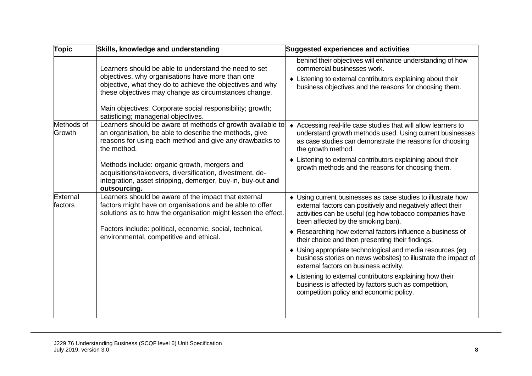| <b>Topic</b>         | Skills, knowledge and understanding                                                                                                                                                                                                                                                         | <b>Suggested experiences and activities</b>                                                                                                                                                                                                                                                                                                    |
|----------------------|---------------------------------------------------------------------------------------------------------------------------------------------------------------------------------------------------------------------------------------------------------------------------------------------|------------------------------------------------------------------------------------------------------------------------------------------------------------------------------------------------------------------------------------------------------------------------------------------------------------------------------------------------|
|                      | Learners should be able to understand the need to set<br>objectives, why organisations have more than one<br>objective, what they do to achieve the objectives and why<br>these objectives may change as circumstances change.<br>Main objectives: Corporate social responsibility; growth; | behind their objectives will enhance understanding of how<br>commercial businesses work.<br>• Listening to external contributors explaining about their<br>business objectives and the reasons for choosing them.                                                                                                                              |
| Methods of<br>Growth | satisficing; managerial objectives.<br>Learners should be aware of methods of growth available to<br>an organisation, be able to describe the methods, give<br>reasons for using each method and give any drawbacks to<br>the method.                                                       | Accessing real-life case studies that will allow learners to<br>$\bullet$<br>understand growth methods used. Using current businesses<br>as case studies can demonstrate the reasons for choosing<br>the growth method.                                                                                                                        |
|                      | Methods include: organic growth, mergers and<br>acquisitions/takeovers, diversification, divestment, de-<br>integration, asset stripping, demerger, buy-in, buy-out and<br>outsourcing.                                                                                                     | • Listening to external contributors explaining about their<br>growth methods and the reasons for choosing them.                                                                                                                                                                                                                               |
| External<br>factors  | Learners should be aware of the impact that external<br>factors might have on organisations and be able to offer<br>solutions as to how the organisation might lessen the effect.<br>Factors include: political, economic, social, technical,<br>environmental, competitive and ethical.    | • Using current businesses as case studies to illustrate how<br>external factors can positively and negatively affect their<br>activities can be useful (eg how tobacco companies have<br>been affected by the smoking ban).<br>◆ Researching how external factors influence a business of<br>their choice and then presenting their findings. |
|                      |                                                                                                                                                                                                                                                                                             | • Using appropriate technological and media resources (eg<br>business stories on news websites) to illustrate the impact of<br>external factors on business activity.<br>• Listening to external contributors explaining how their<br>business is affected by factors such as competition,<br>competition policy and economic policy.          |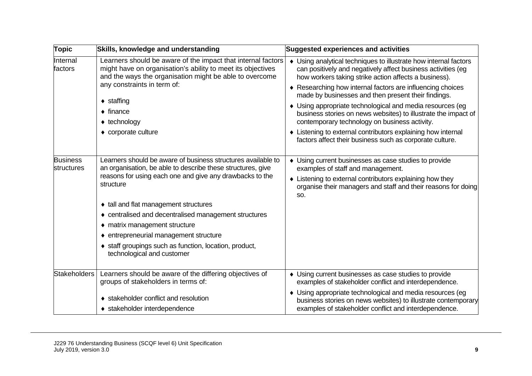| <b>Topic</b>                  | Skills, knowledge and understanding                                                                                                                                                                                                                                                                                   | <b>Suggested experiences and activities</b>                                                                                                                                                                                                                                                                                                                     |
|-------------------------------|-----------------------------------------------------------------------------------------------------------------------------------------------------------------------------------------------------------------------------------------------------------------------------------------------------------------------|-----------------------------------------------------------------------------------------------------------------------------------------------------------------------------------------------------------------------------------------------------------------------------------------------------------------------------------------------------------------|
| Internal<br>factors           | Learners should be aware of the impact that internal factors<br>might have on organisation's ability to meet its objectives<br>and the ways the organisation might be able to overcome<br>any constraints in term of:<br>$\bullet$ staffing<br>$\bullet$ finance<br>$\triangleleft$ technology<br>• corporate culture | • Using analytical techniques to illustrate how internal factors<br>can positively and negatively affect business activities (eg<br>how workers taking strike action affects a business).<br>◆ Researching how internal factors are influencing choices                                                                                                         |
|                               |                                                                                                                                                                                                                                                                                                                       | made by businesses and then present their findings.<br>• Using appropriate technological and media resources (eg<br>business stories on news websites) to illustrate the impact of<br>contemporary technology on business activity.<br>• Listening to external contributors explaining how internal<br>factors affect their business such as corporate culture. |
| <b>Business</b><br>structures | Learners should be aware of business structures available to<br>an organisation, be able to describe these structures, give<br>reasons for using each one and give any drawbacks to the<br>structure                                                                                                                  | • Using current businesses as case studies to provide<br>examples of staff and management.<br>• Listening to external contributors explaining how they<br>organise their managers and staff and their reasons for doing<br>SO.                                                                                                                                  |
|                               | • tall and flat management structures                                                                                                                                                                                                                                                                                 |                                                                                                                                                                                                                                                                                                                                                                 |
|                               | • centralised and decentralised management structures                                                                                                                                                                                                                                                                 |                                                                                                                                                                                                                                                                                                                                                                 |
|                               | • matrix management structure                                                                                                                                                                                                                                                                                         |                                                                                                                                                                                                                                                                                                                                                                 |
|                               | • entrepreneurial management structure<br>• staff groupings such as function, location, product,<br>technological and customer                                                                                                                                                                                        |                                                                                                                                                                                                                                                                                                                                                                 |
| <b>Stakeholders</b>           | Learners should be aware of the differing objectives of<br>groups of stakeholders in terms of:                                                                                                                                                                                                                        | • Using current businesses as case studies to provide<br>examples of stakeholder conflict and interdependence.                                                                                                                                                                                                                                                  |
|                               | • stakeholder conflict and resolution<br>◆ stakeholder interdependence                                                                                                                                                                                                                                                | • Using appropriate technological and media resources (eg<br>business stories on news websites) to illustrate contemporary<br>examples of stakeholder conflict and interdependence.                                                                                                                                                                             |
|                               |                                                                                                                                                                                                                                                                                                                       |                                                                                                                                                                                                                                                                                                                                                                 |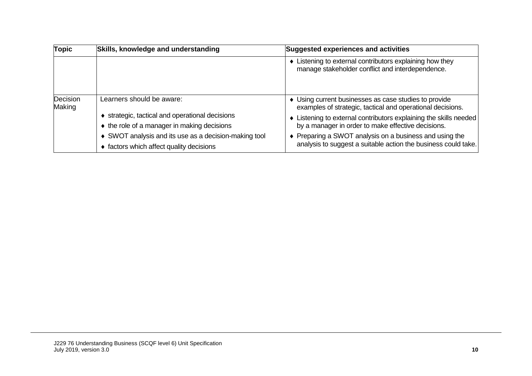| <b>Topic</b>       | Skills, knowledge and understanding                   | <b>Suggested experiences and activities</b>                                                                         |  |
|--------------------|-------------------------------------------------------|---------------------------------------------------------------------------------------------------------------------|--|
|                    |                                                       | • Listening to external contributors explaining how they<br>manage stakeholder conflict and interdependence.        |  |
| Decision<br>Making | Learners should be aware:                             | • Using current businesses as case studies to provide<br>examples of strategic, tactical and operational decisions. |  |
|                    | strategic, tactical and operational decisions         | • Listening to external contributors explaining the skills needed                                                   |  |
|                    | ♦ the role of a manager in making decisions           | by a manager in order to make effective decisions.                                                                  |  |
|                    | ♦ SWOT analysis and its use as a decision-making tool | ♦ Preparing a SWOT analysis on a business and using the                                                             |  |
|                    | ♦ factors which affect quality decisions              | analysis to suggest a suitable action the business could take.                                                      |  |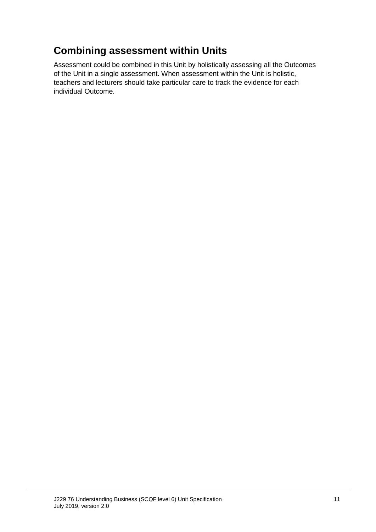## **Combining assessment within Units**

Assessment could be combined in this Unit by holistically assessing all the Outcomes of the Unit in a single assessment. When assessment within the Unit is holistic, teachers and lecturers should take particular care to track the evidence for each individual Outcome.